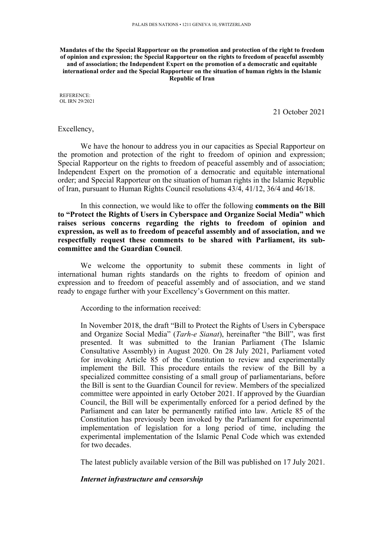#### **Mandates of the the Special Rapporteur on the promotion and protection of the right to freedom of opinion and expression; the Special Rapporteur on the rights to freedom of peaceful assembly and of association; the Independent Expert on the promotion of <sup>a</sup> democratic and equitable international order and the Special Rapporteur on the situation of human rights in the Islamic Republic of Iran**

REFERENCE: OL IRN 29/2021

21 October 2021

#### Excellency,

We have the honour to address you in our capacities as Special Rapporteur on the promotion and protection of the right to freedom of opinion and expression; Special Rapporteur on the rights to freedom of peaceful assembly and of association; Independent Expert on the promotion of <sup>a</sup> democratic and equitable international order; and Special Rapporteur on the situation of human rights in the Islamic Republic of Iran, pursuan<sup>t</sup> to Human Rights Council resolutions 43/4, 41/12, 36/4 and 46/18.

In this connection, we would like to offer the following **comments on the Bill to "Protect the Rights of Users in Cyberspace and Organize Social Media" which raises serious concerns regarding the rights to freedom of opinion and expression, as well as to freedom of peaceful assembly and of association, and we respectfully request these comments to be shared with Parliament, its subcommittee and the Guardian Council**.

We welcome the opportunity to submit these comments in light of international human rights standards on the rights to freedom of opinion and expression and to freedom of peaceful assembly and of association, and we stand ready to engage further with your Excellency'<sup>s</sup> Government on this matter.

According to the information received:

In November 2018, the draft "Bill to Protect the Rights of Users in Cyberspace and Organize Social Media" (*Tarh-e Sianat*), hereinafter "the Bill", was first presented. It was submitted to the Iranian Parliament (The Islamic Consultative Assembly) in August 2020. On 28 July 2021, Parliament voted for invoking Article 85 of the Constitution to review and experimentally implement the Bill. This procedure entails the review of the Bill by <sup>a</sup> specialized committee consisting of <sup>a</sup> small group of parliamentarians, before the Bill is sent to the Guardian Council for review. Members of the specialized committee were appointed in early October 2021. If approved by the Guardian Council, the Bill will be experimentally enforced for <sup>a</sup> period defined by the Parliament and can later be permanently ratified into law. Article 85 of the Constitution has previously been invoked by the Parliament for experimental implementation of legislation for <sup>a</sup> long period of time, including the experimental implementation of the Islamic Penal Code which was extended for two decades.

The latest publicly available version of the Bill was published on 17 July 2021.

#### *Internet infrastructure and censorship*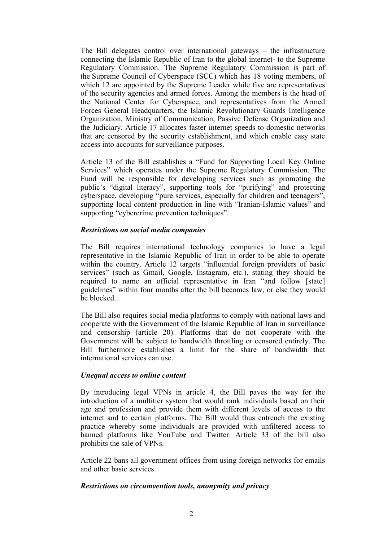The Bill delegates control over international gateways – the infrastructure connecting the Islamic Republic of Iran to the global internet- to the Supreme Regulatory Commission. The Supreme Regulatory Commission is par<sup>t</sup> of the Supreme Council of Cyberspace (SCC) which has 18 voting members, of which 12 are appointed by the Supreme Leader while five are representatives of the security agencies and armed forces. Among the members is the head of the National Center for Cyberspace, and representatives from the Armed Forces General Headquarters, the Islamic Revolutionary Guards Intelligence Organization, Ministry of Communication, Passive Defense Organization and the Judiciary. Article 17 allocates faster internet speeds to domestic networks that are censored by the security establishment, and which enable easy state access into accounts for surveillance purposes.

Article 13 of the Bill establishes <sup>a</sup> "Fund for Supporting Local Key Online Services" which operates under the Supreme Regulatory Commission. The Fund will be responsible for developing services such as promoting the public'<sup>s</sup> "digital literacy", supporting tools for "purifying" and protecting cyberspace, developing "pure services, especially for children and teenagers", supporting local content production in line with "Iranian-Islamic values" and supporting "cybercrime prevention techniques".

## *Restrictions on social media companies*

The Bill requires international technology companies to have <sup>a</sup> legal representative in the Islamic Republic of Iran in order to be able to operate within the country. Article 12 targets "influential foreign providers of basic services" (such as Gmail, Google, Instagram, etc.), stating they should be required to name an official representative in Iran "and follow [state] guidelines" within four months after the bill becomes law, or else they would be blocked.

The Bill also requires social media platforms to comply with national laws and cooperate with the Government of the Islamic Republic of Iran in surveillance and censorship (article 20). Platforms that do not cooperate with the Government will be subject to bandwidth throttling or censored entirely. The Bill furthermore establishes <sup>a</sup> limit for the share of bandwidth that international services can use.

### *Unequal access to online content*

By introducing legal VPNs in article 4, the Bill paves the way for the introduction of <sup>a</sup> multitier system that would rank individuals based on their age and profession and provide them with different levels of access to the internet and to certain platforms. The Bill would thus entrench the existing practice whereby some individuals are provided with unfiltered access to banned platforms like YouTube and Twitter. Article 33 of the bill also prohibits the sale of VPNs.

Article 22 bans all governmen<sup>t</sup> offices from using foreign networks for emails and other basic services.

# *Restrictions on circumvention tools, anonymity and privacy*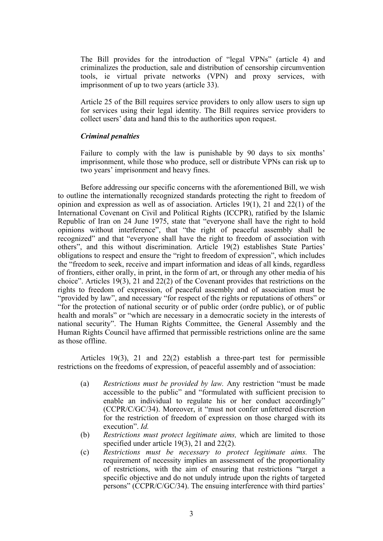The Bill provides for the introduction of "legal VPNs" (article 4) and criminalizes the production, sale and distribution of censorship circumvention tools, ie virtual private networks (VPN) and proxy services, with imprisonment of up to two years (article 33).

Article 25 of the Bill requires service providers to only allow users to sign up for services using their legal identity. The Bill requires service providers to collect users' data and hand this to the authorities upon request.

### *Criminal penalties*

Failure to comply with the law is punishable by 90 days to six months' imprisonment, while those who produce, sell or distribute VPNs can risk up to two years' imprisonment and heavy fines.

Before addressing our specific concerns with the aforementioned Bill, we wish to outline the internationally recognized standards protecting the right to freedom of opinion and expression as well as of association. Articles 19(1), 21 and 22(1) of the International Covenant on Civil and Political Rights (ICCPR), ratified by the Islamic Republic of Iran on 24 June 1975, state that "everyone shall have the right to hold opinions without interference", that "the right of peaceful assembly shall be recognized" and that "everyone shall have the right to freedom of association with others", and this without discrimination. Article 19(2) establishes State Parties' obligations to respec<sup>t</sup> and ensure the "right to freedom of expression", which includes the "freedom to seek, receive and impart information and ideas of all kinds, regardless of frontiers, either orally, in print, in the form of art, or through any other media of his choice". Articles 19(3), 21 and 22(2) of the Covenant provides that restrictions on the rights to freedom of expression, of peaceful assembly and of association must be "provided by law", and necessary "for respec<sup>t</sup> of the rights or reputations of others" or "for the protection of national security or of public order (ordre public), or of public health and morals" or "which are necessary in a democratic society in the interests of national security". The Human Rights Committee, the General Assembly and the Human Rights Council have affirmed that permissible restrictions online are the same as those offline.

Articles 19(3), 21 and 22(2) establish <sup>a</sup> three-part test for permissible restrictions on the freedoms of expression, of peaceful assembly and of association:

- (a) *Restrictions must be provided by law.* Any restriction "must be made accessible to the public" and "formulated with sufficient precision to enable an individual to regulate his or her conduct accordingly" (CCPR/C/GC/34). Moreover, it "must not confer unfettered discretion for the restriction of freedom of expression on those charged with its execution". *Id.*
- (b) *Restrictions must protect legitimate aims,* which are limited to those specified under article 19(3), 21 and 22(2).
- (c) *Restrictions must be necessary to protect legitimate aims.* The requirement of necessity implies an assessment of the proportionality of restrictions, with the aim of ensuring that restrictions "target <sup>a</sup> specific objective and do not unduly intrude upon the rights of targeted persons" (CCPR/C/GC/34). The ensuing interference with third parties'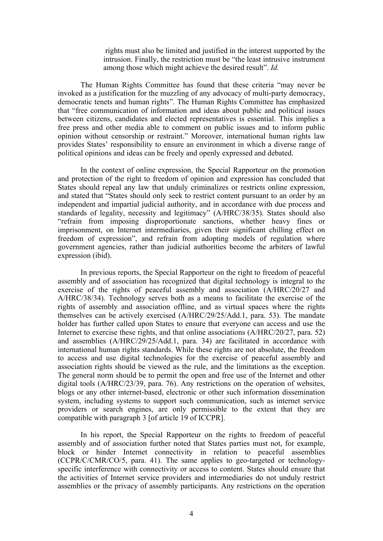rights must also be limited and justified in the interest supported by the intrusion. Finally, the restriction must be "the least intrusive instrument among those which might achieve the desired result". *Id.*

The Human Rights Committee has found that these criteria "may never be invoked as <sup>a</sup> justification for the muzzling of any advocacy of multi-party democracy, democratic tenets and human rights". The Human Rights Committee has emphasized that "free communication of information and ideas about public and political issues between citizens, candidates and elected representatives is essential. This implies <sup>a</sup> free press and other media able to comment on public issues and to inform public opinion without censorship or restraint." Moreover, international human rights law provides States' responsibility to ensure an environment in which <sup>a</sup> diverse range of political opinions and ideas can be freely and openly expressed and debated.

In the context of online expression, the Special Rapporteur on the promotion and protection of the right to freedom of opinion and expression has concluded that States should repeal any law that unduly criminalizes or restricts online expression, and stated that "States should only seek to restrict content pursuan<sup>t</sup> to an order by an independent and impartial judicial authority, and in accordance with due process and standards of legality, necessity and legitimacy" (A/HRC/38/35). States should also "refrain from imposing disproportionate sanctions, whether heavy fines or imprisonment, on Internet intermediaries, given their significant chilling effect on freedom of expression", and refrain from adopting models of regulation where governmen<sup>t</sup> agencies, rather than judicial authorities become the arbiters of lawful expression (ibid).

In previous reports, the Special Rapporteur on the right to freedom of peaceful assembly and of association has recognized that digital technology is integral to the exercise of the rights of peaceful assembly and association (A/HRC/20/27 and A/HRC/38/34). Technology serves both as <sup>a</sup> means to facilitate the exercise of the rights of assembly and association offline, and as virtual spaces where the rights themselves can be actively exercised (A/HRC/29/25/Add.1, para. 53). The mandate holder has further called upon States to ensure that everyone can access and use the Internet to exercise these rights, and that online associations (A/HRC/20/27, para. 52) and assemblies (A/HRC/29/25/Add.1, para. 34) are facilitated in accordance with international human rights standards. While these rights are not absolute, the freedom to access and use digital technologies for the exercise of peaceful assembly and association rights should be viewed as the rule, and the limitations as the exception. The general norm should be to permit the open and free use of the Internet and other digital tools (A/HRC/23/39, para. 76). Any restrictions on the operation of websites, blogs or any other internet-based, electronic or other such information dissemination system, including systems to suppor<sup>t</sup> such communication, such as internet service providers or search engines, are only permissible to the extent that they are compatible with paragraph 3 [of article 19 of ICCPR].

In his report, the Special Rapporteur on the rights to freedom of peaceful assembly and of association further noted that States parties must not, for example, block or hinder Internet connectivity in relation to peaceful assemblies (CCPR/C/CMR/CO/5, para. 41). The same applies to geo-targeted or technologyspecific interference with connectivity or access to content. States should ensure that the activities of Internet service providers and intermediaries do not unduly restrict assemblies or the privacy of assembly participants. Any restrictions on the operation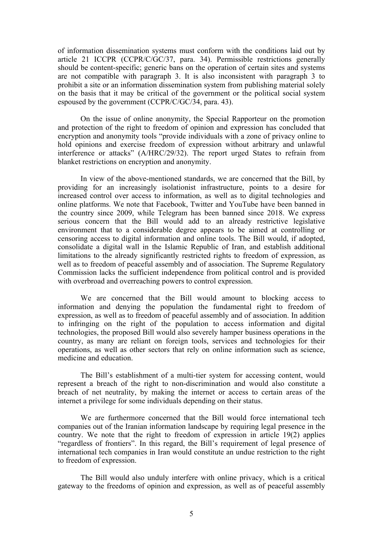of information dissemination systems must conform with the conditions laid out by article 21 ICCPR (CCPR/C/GC/37, para. 34). Permissible restrictions generally should be content-specific; generic bans on the operation of certain sites and systems are not compatible with paragraph 3. It is also inconsistent with paragraph 3 to prohibit <sup>a</sup> site or an information dissemination system from publishing material solely on the basis that it may be critical of the governmen<sup>t</sup> or the political social system espoused by the governmen<sup>t</sup> (CCPR/C/GC/34, para. 43).

On the issue of online anonymity, the Special Rapporteur on the promotion and protection of the right to freedom of opinion and expression has concluded that encryption and anonymity tools "provide individuals with <sup>a</sup> zone of privacy online to hold opinions and exercise freedom of expression without arbitrary and unlawful interference or attacks" (A/HRC/29/32). The repor<sup>t</sup> urged States to refrain from blanket restrictions on encryption and anonymity.

In view of the above-mentioned standards, we are concerned that the Bill, by providing for an increasingly isolationist infrastructure, points to <sup>a</sup> desire for increased control over access to information, as well as to digital technologies and online platforms. We note that Facebook, Twitter and YouTube have been banned in the country since 2009, while Telegram has been banned since 2018. We express serious concern that the Bill would add to an already restrictive legislative environment that to <sup>a</sup> considerable degree appears to be aimed at controlling or censoring access to digital information and online tools. The Bill would, if adopted, consolidate <sup>a</sup> digital wall in the Islamic Republic of Iran, and establish additional limitations to the already significantly restricted rights to freedom of expression, as well as to freedom of peaceful assembly and of association. The Supreme Regulatory Commission lacks the sufficient independence from political control and is provided with overbroad and overreaching powers to control expression.

We are concerned that the Bill would amount to blocking access to information and denying the population the fundamental right to freedom of expression, as well as to freedom of peaceful assembly and of association. In addition to infringing on the right of the population to access information and digital technologies, the proposed Bill would also severely hamper business operations in the country, as many are reliant on foreign tools, services and technologies for their operations, as well as other sectors that rely on online information such as science, medicine and education.

The Bill'<sup>s</sup> establishment of <sup>a</sup> multi-tier system for accessing content, would represen<sup>t</sup> <sup>a</sup> breach of the right to non-discrimination and would also constitute <sup>a</sup> breach of net neutrality, by making the internet or access to certain areas of the internet <sup>a</sup> privilege for some individuals depending on their status.

We are furthermore concerned that the Bill would force international tech companies out of the Iranian information landscape by requiring legal presence in the country. We note that the right to freedom of expression in article 19(2) applies "regardless of frontiers". In this regard, the Bill'<sup>s</sup> requirement of legal presence of international tech companies in Iran would constitute an undue restriction to the right to freedom of expression.

The Bill would also unduly interfere with online privacy, which is <sup>a</sup> critical gateway to the freedoms of opinion and expression, as well as of peaceful assembly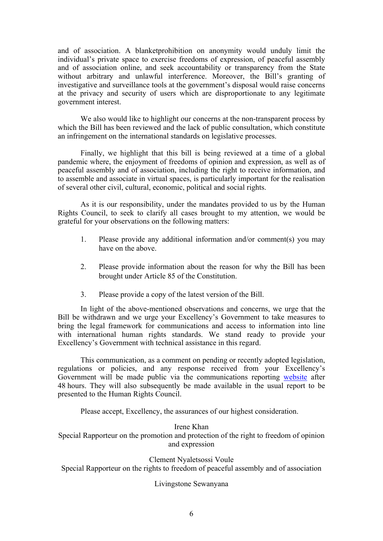and of association. A blanketprohibition on anonymity would unduly limit the individual'<sup>s</sup> private space to exercise freedoms of expression, of peaceful assembly and of association online, and seek accountability or transparency from the State without arbitrary and unlawful interference. Moreover, the Bill's granting of investigative and surveillance tools at the government'<sup>s</sup> disposal would raise concerns at the privacy and security of users which are disproportionate to any legitimate governmen<sup>t</sup> interest.

We also would like to highlight our concerns at the non-transparent process by which the Bill has been reviewed and the lack of public consultation, which constitute an infringement on the international standards on legislative processes.

Finally, we highlight that this bill is being reviewed at <sup>a</sup> time of <sup>a</sup> global pandemic where, the enjoyment of freedoms of opinion and expression, as well as of peaceful assembly and of association, including the right to receive information, and to assemble and associate in virtual spaces, is particularly important for the realisation of several other civil, cultural, economic, political and social rights.

As it is our responsibility, under the mandates provided to us by the Human Rights Council, to seek to clarify all cases brought to my attention, we would be grateful for your observations on the following matters:

- 1. Please provide any additional information and/or comment(s) you may have on the above.
- 2. Please provide information about the reason for why the Bill has been brought under Article 85 of the Constitution.
- 3. Please provide <sup>a</sup> copy of the latest version of the Bill.

In light of the above-mentioned observations and concerns, we urge that the Bill be withdrawn and we urge your Excellency'<sup>s</sup> Government to take measures to bring the legal framework for communications and access to information into line with international human rights standards. We stand ready to provide your Excellency'<sup>s</sup> Government with technical assistance in this regard.

This communication, as <sup>a</sup> comment on pending or recently adopted legislation, regulations or policies, and any response received from your Excellency'<sup>s</sup> Government will be made public via the communications reporting [website](https://spcommreports.ohchr.org/) after 48 hours. They will also subsequently be made available in the usual repor<sup>t</sup> to be presented to the Human Rights Council.

Please accept, Excellency, the assurances of our highest consideration.

Irene Khan Special Rapporteur on the promotion and protection of the right to freedom of opinion and expression

Clement Nyaletsossi Voule Special Rapporteur on the rights to freedom of peaceful assembly and of association

# Livingstone Sewanyana